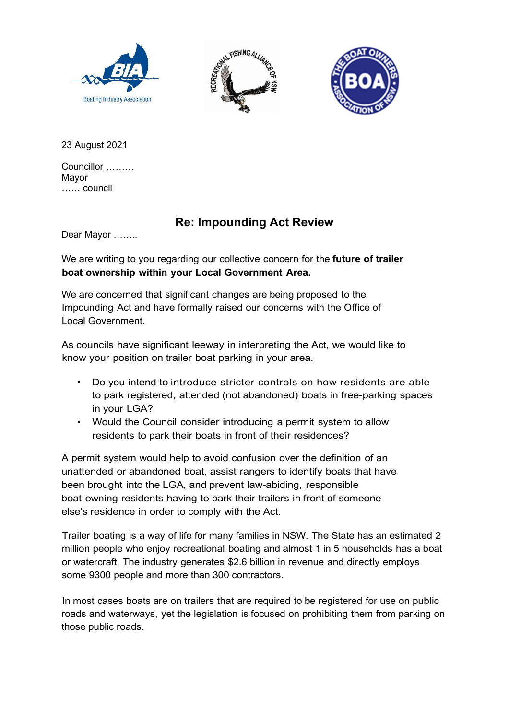





23 August 2021

Councillor ……… Mayor …… council

## Re: Impounding Act Review

Dear Mayor ……..

We are writing to you regarding our collective concern for the future of trailer boat ownership within your Local Government Area.

We are concerned that significant changes are being proposed to the Impounding Act and have formally raised our concerns with the Office of Local Government.

As councils have significant leeway in interpreting the Act, we would like to know your position on trailer boat parking in your area.

- Do you intend to introduce stricter controls on how residents are able to park registered, attended (not abandoned) boats in free-parking spaces in your LGA?
- Would the Council consider introducing a permit system to allow residents to park their boats in front of their residences?

A permit system would help to avoid confusion over the definition of an unattended or abandoned boat, assist rangers to identify boats that have been brought into the LGA, and prevent law-abiding, responsible boat-owning residents having to park their trailers in front of someone else's residence in order to comply with the Act.

Trailer boating is a way of life for many families in NSW. The State has an estimated 2 million people who enjoy recreational boating and almost 1 in 5 households has a boat or watercraft. The industry generates \$2.6 billion in revenue and directly employs some 9300 people and more than 300 contractors.

In most cases boats are on trailers that are required to be registered for use on public roads and waterways, yet the legislation is focused on prohibiting them from parking on those public roads.